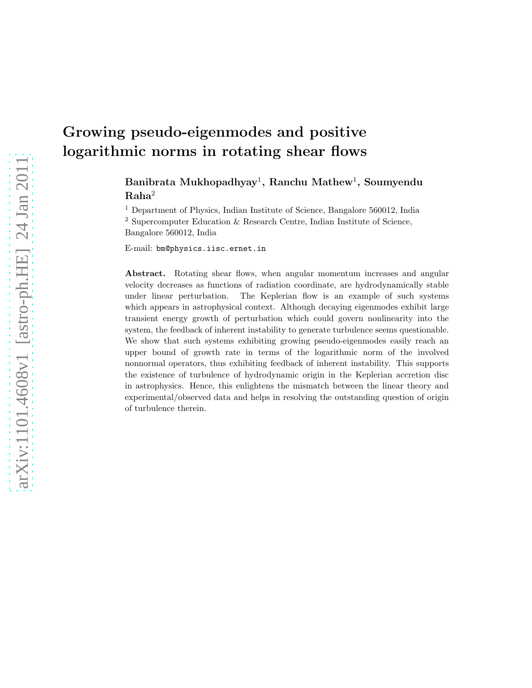# Growing pseudo-eigenmodes and positive logarithmic norms in rotating shear flows

# Banibrata Mukhopadhyay $^1,$  Ranchu Mathew $^1,$  Soumyendu Raha<sup>2</sup>

<sup>1</sup> Department of Physics, Indian Institute of Science, Bangalore 560012, India

<sup>2</sup> Supercomputer Education & Research Centre, Indian Institute of Science,

Bangalore 560012, India

E-mail: bm@physics.iisc.ernet.in

Abstract. Rotating shear flows, when angular momentum increases and angular velocity decreases as functions of radiation coordinate, are hydrodynamically stable under linear perturbation. The Keplerian flow is an example of such systems which appears in astrophysical context. Although decaying eigenmodes exhibit large transient energy growth of perturbation which could govern nonlinearity into the system, the feedback of inherent instability to generate turbulence seems questionable. We show that such systems exhibiting growing pseudo-eigenmodes easily reach an upper bound of growth rate in terms of the logarithmic norm of the involved nonnormal operators, thus exhibiting feedback of inherent instability. This supports the existence of turbulence of hydrodynamic origin in the Keplerian accretion disc in astrophysics. Hence, this enlightens the mismatch between the linear theory and experimental/observed data and helps in resolving the outstanding question of origin of turbulence therein.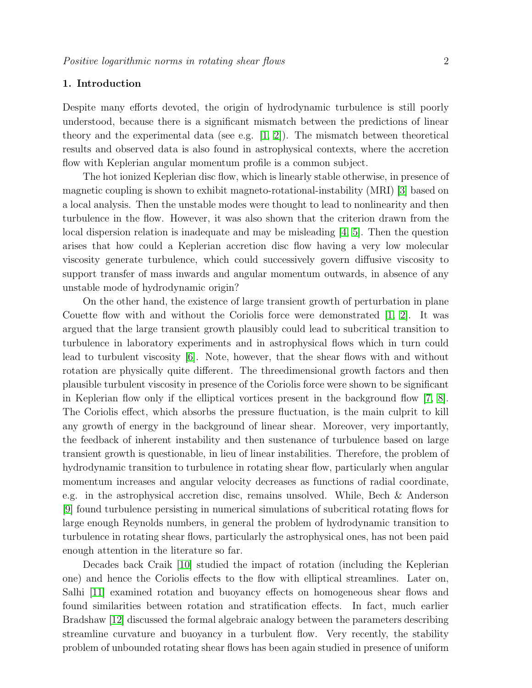### 1. Introduction

Despite many efforts devoted, the origin of hydrodynamic turbulence is still poorly understood, because there is a significant mismatch between the predictions of linear theory and the experimental data (see e.g.  $[1, 2]$  $[1, 2]$ ). The mismatch between theoretical results and observed data is also found in astrophysical contexts, where the accretion flow with Keplerian angular momentum profile is a common subject.

The hot ionized Keplerian disc flow, which is linearly stable otherwise, in presence of magnetic coupling is shown to exhibit magneto-rotational-instability (MRI) [\[3\]](#page-8-2) based on a local analysis. Then the unstable modes were thought to lead to nonlinearity and then turbulence in the flow. However, it was also shown that the criterion drawn from the local dispersion relation is inadequate and may be misleading [\[4,](#page-8-3) [5\]](#page-8-4). Then the question arises that how could a Keplerian accretion disc flow having a very low molecular viscosity generate turbulence, which could successively govern diffusive viscosity to support transfer of mass inwards and angular momentum outwards, in absence of any unstable mode of hydrodynamic origin?

On the other hand, the existence of large transient growth of perturbation in plane Couette flow with and without the Coriolis force were demonstrated  $[1, 2]$  $[1, 2]$ . It was argued that the large transient growth plausibly could lead to subcritical transition to turbulence in laboratory experiments and in astrophysical flows which in turn could lead to turbulent viscosity [\[6\]](#page-8-5). Note, however, that the shear flows with and without rotation are physically quite different. The threedimensional growth factors and then plausible turbulent viscosity in presence of the Coriolis force were shown to be significant in Keplerian flow only if the elliptical vortices present in the background flow [\[7,](#page-9-0) [8\]](#page-9-1). The Coriolis effect, which absorbs the pressure fluctuation, is the main culprit to kill any growth of energy in the background of linear shear. Moreover, very importantly, the feedback of inherent instability and then sustenance of turbulence based on large transient growth is questionable, in lieu of linear instabilities. Therefore, the problem of hydrodynamic transition to turbulence in rotating shear flow, particularly when angular momentum increases and angular velocity decreases as functions of radial coordinate, e.g. in the astrophysical accretion disc, remains unsolved. While, Bech & Anderson [\[9\]](#page-9-2) found turbulence persisting in numerical simulations of subcritical rotating flows for large enough Reynolds numbers, in general the problem of hydrodynamic transition to turbulence in rotating shear flows, particularly the astrophysical ones, has not been paid enough attention in the literature so far.

Decades back Craik [\[10\]](#page-9-3) studied the impact of rotation (including the Keplerian one) and hence the Coriolis effects to the flow with elliptical streamlines. Later on, Salhi [\[11\]](#page-9-4) examined rotation and buoyancy effects on homogeneous shear flows and found similarities between rotation and stratification effects. In fact, much earlier Bradshaw [\[12\]](#page-9-5) discussed the formal algebraic analogy between the parameters describing streamline curvature and buoyancy in a turbulent flow. Very recently, the stability problem of unbounded rotating shear flows has been again studied in presence of uniform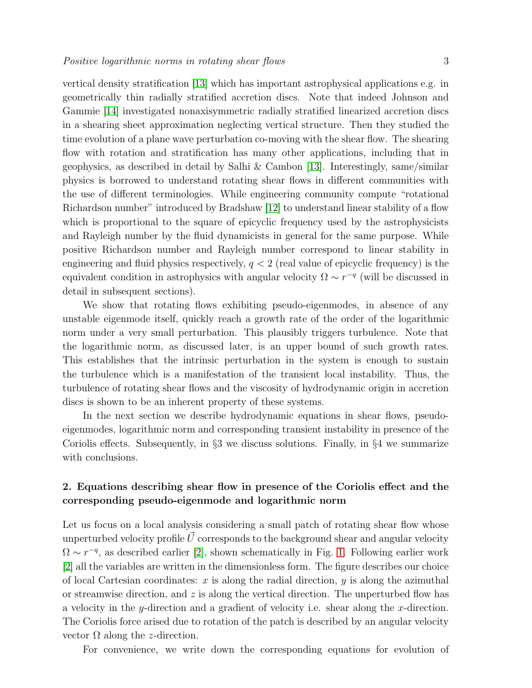vertical density stratification [\[13\]](#page-9-6) which has important astrophysical applications e.g. in geometrically thin radially stratified accretion discs. Note that indeed Johnson and Gammie [\[14\]](#page-9-7) investigated nonaxisymmetric radially stratified linearized accretion discs in a shearing sheet approximation neglecting vertical structure. Then they studied the time evolution of a plane wave perturbation co-moving with the shear flow. The shearing flow with rotation and stratification has many other applications, including that in geophysics, as described in detail by Salhi & Cambon [\[13\]](#page-9-6). Interestingly, same/similar physics is borrowed to understand rotating shear flows in different communities with the use of different terminologies. While engineering community compute "rotational Richardson number" introduced by Bradshaw [\[12\]](#page-9-5) to understand linear stability of a flow which is proportional to the square of epicyclic frequency used by the astrophysicists and Rayleigh number by the fluid dynamicists in general for the same purpose. While positive Richardson number and Rayleigh number correspond to linear stability in engineering and fluid physics respectively,  $q < 2$  (real value of epicyclic frequency) is the equivalent condition in astrophysics with angular velocity  $\Omega \sim r^{-q}$  (will be discussed in detail in subsequent sections).

We show that rotating flows exhibiting pseudo-eigenmodes, in absence of any unstable eigenmode itself, quickly reach a growth rate of the order of the logarithmic norm under a very small perturbation. This plausibly triggers turbulence. Note that the logarithmic norm, as discussed later, is an upper bound of such growth rates. This establishes that the intrinsic perturbation in the system is enough to sustain the turbulence which is a manifestation of the transient local instability. Thus, the turbulence of rotating shear flows and the viscosity of hydrodynamic origin in accretion discs is shown to be an inherent property of these systems.

In the next section we describe hydrodynamic equations in shear flows, pseudoeigenmodes, logarithmic norm and corresponding transient instability in presence of the Coriolis effects. Subsequently, in §3 we discuss solutions. Finally, in §4 we summarize with conclusions.

# 2. Equations describing shear flow in presence of the Coriolis effect and the corresponding pseudo-eigenmode and logarithmic norm

Let us focus on a local analysis considering a small patch of rotating shear flow whose unperturbed velocity profile  $\vec{U}$  corresponds to the background shear and angular velocity  $\Omega \sim r^{-q}$ , as described earlier [\[2\]](#page-8-1), shown schematically in Fig. [1.](#page-3-0) Following earlier work [\[2\]](#page-8-1) all the variables are written in the dimensionless form. The figure describes our choice of local Cartesian coordinates: x is along the radial direction, y is along the azimuthal or streamwise direction, and  $z$  is along the vertical direction. The unperturbed flow has a velocity in the y-direction and a gradient of velocity i.e. shear along the x-direction. The Coriolis force arised due to rotation of the patch is described by an angular velocity vector  $Ω$  along the *z*-direction.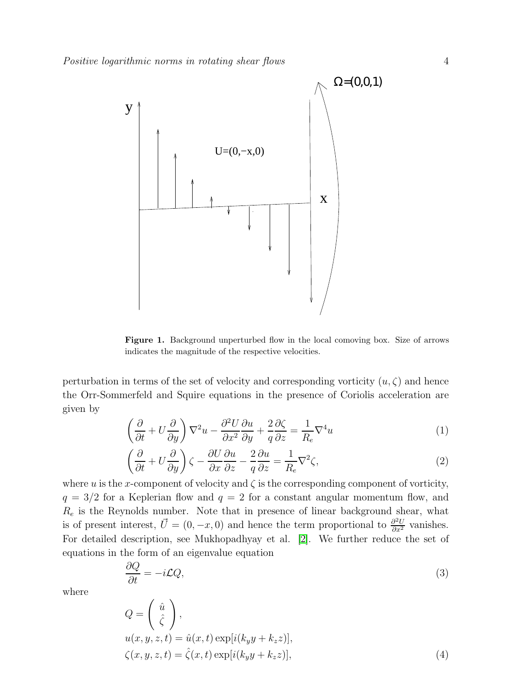

<span id="page-3-0"></span>Figure 1. Background unperturbed flow in the local comoving box. Size of arrows indicates the magnitude of the respective velocities.

perturbation in terms of the set of velocity and corresponding vorticity  $(u, \zeta)$  and hence the Orr-Sommerfeld and Squire equations in the presence of Coriolis acceleration are given by

$$
\left(\frac{\partial}{\partial t} + U\frac{\partial}{\partial y}\right)\nabla^2 u - \frac{\partial^2 U}{\partial x^2}\frac{\partial u}{\partial y} + \frac{2}{q}\frac{\partial \zeta}{\partial z} = \frac{1}{R_e}\nabla^4 u\tag{1}
$$

$$
\left(\frac{\partial}{\partial t} + U\frac{\partial}{\partial y}\right)\zeta - \frac{\partial U}{\partial x}\frac{\partial u}{\partial z} - \frac{2}{q}\frac{\partial u}{\partial z} = \frac{1}{R_e}\nabla^2\zeta,
$$
\n(2)

where u is the x-component of velocity and  $\zeta$  is the corresponding component of vorticity,  $q = 3/2$  for a Keplerian flow and  $q = 2$  for a constant angular momentum flow, and  $R_e$  is the Reynolds number. Note that in presence of linear background shear, what is of present interest,  $\vec{U} = (0, -x, 0)$  and hence the term proportional to  $\frac{\partial^2 U}{\partial x^2}$  vanishes. For detailed description, see Mukhopadhyay et al. [\[2\]](#page-8-1). We further reduce the set of equations in the form of an eigenvalue equation

<span id="page-3-1"></span>
$$
\frac{\partial Q}{\partial t} = -i\mathcal{L}Q,\tag{3}
$$

where

$$
Q = \begin{pmatrix} \hat{u} \\ \hat{\zeta} \end{pmatrix},
$$
  
 
$$
u(x, y, z, t) = \hat{u}(x, t) \exp[i(k_y y + k_z z)],
$$
  
\n
$$
\zeta(x, y, z, t) = \hat{\zeta}(x, t) \exp[i(k_y y + k_z z)],
$$
\n(4)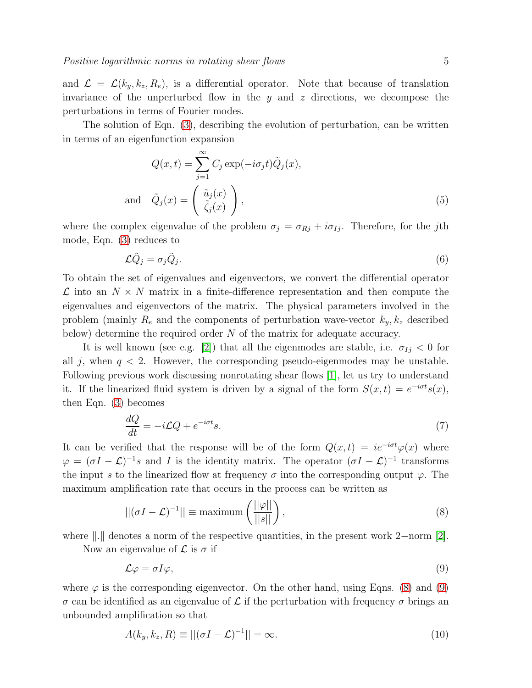and  $\mathcal{L} = \mathcal{L}(k_y, k_z, R_e)$ , is a differential operator. Note that because of translation invariance of the unperturbed flow in the  $y$  and  $z$  directions, we decompose the perturbations in terms of Fourier modes.

The solution of Eqn. [\(3\)](#page-3-1), describing the evolution of perturbation, can be written in terms of an eigenfunction expansion

$$
Q(x,t) = \sum_{j=1}^{\infty} C_j \exp(-i\sigma_j t) \tilde{Q}_j(x),
$$
  
and 
$$
\tilde{Q}_j(x) = \begin{pmatrix} \tilde{u}_j(x) \\ \tilde{\zeta}_j(x) \end{pmatrix},
$$
 (5)

where the complex eigenvalue of the problem  $\sigma_j = \sigma_{Rj} + i\sigma_{Ij}$ . Therefore, for the jth mode, Eqn. [\(3\)](#page-3-1) reduces to

<span id="page-4-3"></span>
$$
\mathcal{L}\tilde{Q}_j = \sigma_j \tilde{Q}_j. \tag{6}
$$

To obtain the set of eigenvalues and eigenvectors, we convert the differential operator  $\mathcal L$  into an  $N \times N$  matrix in a finite-difference representation and then compute the eigenvalues and eigenvectors of the matrix. The physical parameters involved in the problem (mainly  $R_e$  and the components of perturbation wave-vector  $k_y, k_z$  described below) determine the required order N of the matrix for adequate accuracy.

It is well known (see e.g. [\[2\]](#page-8-1)) that all the eigenmodes are stable, i.e.  $\sigma_{Ij} < 0$  for all j, when  $q < 2$ . However, the corresponding pseudo-eigenmodes may be unstable. Following previous work discussing nonrotating shear flows [\[1\]](#page-8-0), let us try to understand it. If the linearized fluid system is driven by a signal of the form  $S(x,t) = e^{-i\sigma t} s(x)$ , then Eqn. [\(3\)](#page-3-1) becomes

<span id="page-4-2"></span>
$$
\frac{dQ}{dt} = -i\mathcal{L}Q + e^{-i\sigma t}s.\tag{7}
$$

It can be verified that the response will be of the form  $Q(x,t) = ie^{-i\sigma t}\varphi(x)$  where  $\varphi = (\sigma I - \mathcal{L})^{-1} s$  and I is the identity matrix. The operator  $(\sigma I - \mathcal{L})^{-1}$  transforms the input s to the linearized flow at frequency  $\sigma$  into the corresponding output  $\varphi$ . The maximum amplification rate that occurs in the process can be written as

<span id="page-4-0"></span>
$$
||(\sigma I - \mathcal{L})^{-1}|| \equiv \text{maximum} \left( \frac{||\varphi||}{||s||} \right), \tag{8}
$$

where  $\|.\|$  denotes a norm of the respective quantities, in the present work 2−norm [\[2\]](#page-8-1).

Now an eigenvalue of  $\mathcal L$  is  $\sigma$  if

<span id="page-4-1"></span>
$$
\mathcal{L}\varphi = \sigma I\varphi,\tag{9}
$$

where  $\varphi$  is the corresponding eigenvector. On the other hand, using Eqns. [\(8\)](#page-4-0) and [\(9\)](#page-4-1) σ can be identified as an eigenvalue of L if the perturbation with frequency σ brings an unbounded amplification so that

$$
A(k_y, k_z, R) \equiv ||(\sigma I - \mathcal{L})^{-1}|| = \infty.
$$
\n(10)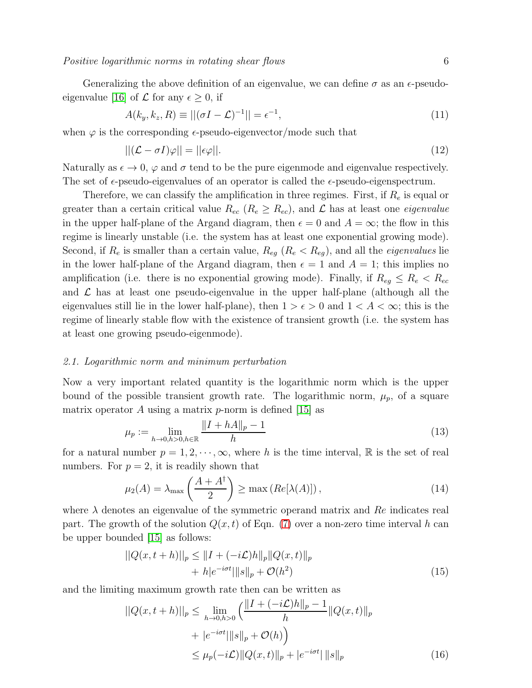Positive logarithmic norms in rotating shear flows 6

Generalizing the above definition of an eigenvalue, we can define  $\sigma$  as an  $\epsilon$ -pseudo-eigenvalue [\[16\]](#page-9-8) of  $\mathcal L$  for any  $\epsilon > 0$ , if

<span id="page-5-0"></span>
$$
A(k_y, k_z, R) \equiv ||(\sigma I - \mathcal{L})^{-1}|| = \epsilon^{-1},
$$
\n(11)

when  $\varphi$  is the corresponding  $\epsilon$ -pseudo-eigenvector/mode such that

$$
||(\mathcal{L} - \sigma I)\varphi|| = ||\epsilon\varphi||. \tag{12}
$$

Naturally as  $\epsilon \to 0$ ,  $\varphi$  and  $\sigma$  tend to be the pure eigenmode and eigenvalue respectively. The set of  $\epsilon$ -pseudo-eigenvalues of an operator is called the  $\epsilon$ -pseudo-eigenspectrum.

Therefore, we can classify the amplification in three regimes. First, if  $R_e$  is equal or greater than a certain critical value  $R_{ec}$  ( $R_e \geq R_{ec}$ ), and  $\mathcal L$  has at least one *eigenvalue* in the upper half-plane of the Argand diagram, then  $\epsilon = 0$  and  $A = \infty$ ; the flow in this regime is linearly unstable (i.e. the system has at least one exponential growing mode). Second, if  $R_e$  is smaller than a certain value,  $R_{eg}$  ( $R_e < R_{eg}$ ), and all the *eigenvalues* lie in the lower half-plane of the Argand diagram, then  $\epsilon = 1$  and  $A = 1$ ; this implies no amplification (i.e. there is no exponential growing mode). Finally, if  $R_{eg} \leq R_e < R_{ec}$ and  $\mathcal L$  has at least one pseudo-eigenvalue in the upper half-plane (although all the eigenvalues still lie in the lower half-plane), then  $1 > \epsilon > 0$  and  $1 < A < \infty$ ; this is the regime of linearly stable flow with the existence of transient growth (i.e. the system has at least one growing pseudo-eigenmode).

#### 2.1. Logarithmic norm and minimum perturbation

Now a very important related quantity is the logarithmic norm which is the upper bound of the possible transient growth rate. The logarithmic norm,  $\mu_p$ , of a square matrix operator A using a matrix  $p$ -norm is defined [\[15\]](#page-9-9) as

$$
\mu_p := \lim_{h \to 0, h > 0, h \in \mathbb{R}} \frac{\|I + hA\|_p - 1}{h} \tag{13}
$$

for a natural number  $p = 1, 2, \dots, \infty$ , where h is the time interval, R is the set of real numbers. For  $p = 2$ , it is readily shown that

$$
\mu_2(A) = \lambda_{\max}\left(\frac{A + A^{\dagger}}{2}\right) \ge \max\left(Re[\lambda(A)]\right),\tag{14}
$$

where  $\lambda$  denotes an eigenvalue of the symmetric operand matrix and Re indicates real part. The growth of the solution  $Q(x, t)$  of Eqn. [\(7\)](#page-4-2) over a non-zero time interval h can be upper bounded [\[15\]](#page-9-9) as follows:

$$
||Q(x, t+h)||_p \le ||I + (-i\mathcal{L})h||_p ||Q(x, t)||_p + h|e^{-i\sigma t}|||s||_p + \mathcal{O}(h^2)
$$
\n(15)

and the limiting maximum growth rate then can be written as

$$
||Q(x, t+h)||_p \le \lim_{h \to 0, h > 0} \left( \frac{||I + (-i\mathcal{L})h||_p - 1}{h} ||Q(x, t)||_p + |e^{-i\sigma t}||_s||_p + \mathcal{O}(h) \right)
$$
  

$$
\le \mu_p(-i\mathcal{L}) ||Q(x, t)||_p + |e^{-i\sigma t}||_s||_p
$$
 (16)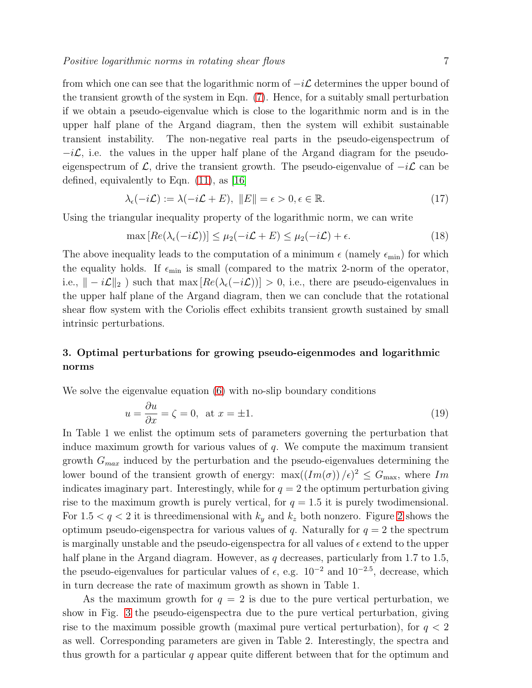from which one can see that the logarithmic norm of  $-i\mathcal{L}$  determines the upper bound of the transient growth of the system in Eqn. [\(7\)](#page-4-2). Hence, for a suitably small perturbation if we obtain a pseudo-eigenvalue which is close to the logarithmic norm and is in the upper half plane of the Argand diagram, then the system will exhibit sustainable transient instability. The non-negative real parts in the pseudo-eigenspectrum of  $-i\mathcal{L}$ , i.e. the values in the upper half plane of the Argand diagram for the pseudoeigenspectrum of  $\mathcal{L}$ , drive the transient growth. The pseudo-eigenvalue of  $-i\mathcal{L}$  can be defined, equivalently to Eqn. [\(11\)](#page-5-0), as [\[16\]](#page-9-8)

$$
\lambda_{\epsilon}(-i\mathcal{L}) := \lambda(-i\mathcal{L} + E), \ \|E\| = \epsilon > 0, \epsilon \in \mathbb{R}.
$$
\n(17)

Using the triangular inequality property of the logarithmic norm, we can write

$$
\max [Re(\lambda_{\epsilon}(-i\mathcal{L}))] \le \mu_2(-i\mathcal{L} + E) \le \mu_2(-i\mathcal{L}) + \epsilon.
$$
 (18)

The above inequality leads to the computation of a minimum  $\epsilon$  (namely  $\epsilon_{\min}$ ) for which the equality holds. If  $\epsilon_{\min}$  is small (compared to the matrix 2-norm of the operator, i.e.,  $\| - i \mathcal{L} \|_2$ ) such that max  $[Re(\lambda_{\epsilon}(-i\mathcal{L}))] > 0$ , i.e., there are pseudo-eigenvalues in the upper half plane of the Argand diagram, then we can conclude that the rotational shear flow system with the Coriolis effect exhibits transient growth sustained by small intrinsic perturbations.

# 3. Optimal perturbations for growing pseudo-eigenmodes and logarithmic norms

We solve the eigenvalue equation [\(6\)](#page-4-3) with no-slip boundary conditions

$$
u = \frac{\partial u}{\partial x} = \zeta = 0, \text{ at } x = \pm 1.
$$
 (19)

In Table 1 we enlist the optimum sets of parameters governing the perturbation that induce maximum growth for various values of  $q$ . We compute the maximum transient growth  $G_{max}$  induced by the perturbation and the pseudo-eigenvalues determining the lower bound of the transient growth of energy:  $\max((Im(\sigma))/\epsilon)^2 \leq G_{\text{max}}$ , where Im indicates imaginary part. Interestingly, while for  $q = 2$  the optimum perturbation giving rise to the maximum growth is purely vertical, for  $q = 1.5$  it is purely twodimensional. For  $1.5 < q < 2$  $1.5 < q < 2$  it is threedimensional with  $k_y$  and  $k_z$  both nonzero. Figure 2 shows the optimum pseudo-eigenspectra for various values of q. Naturally for  $q = 2$  the spectrum is marginally unstable and the pseudo-eigenspectra for all values of  $\epsilon$  extend to the upper half plane in the Argand diagram. However, as  $q$  decreases, particularly from 1.7 to 1.5, the pseudo-eigenvalues for particular values of  $\epsilon$ , e.g.  $10^{-2}$  and  $10^{-2.5}$ , decrease, which in turn decrease the rate of maximum growth as shown in Table 1.

As the maximum growth for  $q = 2$  is due to the pure vertical perturbation, we show in Fig. [3](#page-10-0) the pseudo-eigenspectra due to the pure vertical perturbation, giving rise to the maximum possible growth (maximal pure vertical perturbation), for  $q < 2$ as well. Corresponding parameters are given in Table 2. Interestingly, the spectra and thus growth for a particular  $q$  appear quite different between that for the optimum and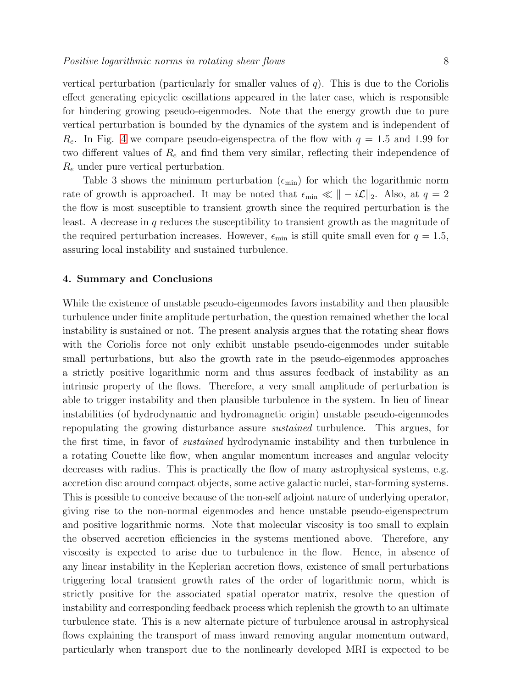vertical perturbation (particularly for smaller values of  $q$ ). This is due to the Coriolis effect generating epicyclic oscillations appeared in the later case, which is responsible for hindering growing pseudo-eigenmodes. Note that the energy growth due to pure vertical perturbation is bounded by the dynamics of the system and is independent of  $R_e$ . In Fig. [4](#page-11-0) we compare pseudo-eigenspectra of the flow with  $q = 1.5$  and 1.99 for two different values of  $R_e$  and find them very similar, reflecting their independence of  $R_e$  under pure vertical perturbation.

Table 3 shows the minimum perturbation  $(\epsilon_{\min})$  for which the logarithmic norm rate of growth is approached. It may be noted that  $\epsilon_{\min} \ll ||-i\mathcal{L}||_2$ . Also, at  $q=2$ the flow is most susceptible to transient growth since the required perturbation is the least. A decrease in q reduces the susceptibility to transient growth as the magnitude of the required perturbation increases. However,  $\epsilon_{\min}$  is still quite small even for  $q = 1.5$ , assuring local instability and sustained turbulence.

#### 4. Summary and Conclusions

While the existence of unstable pseudo-eigenmodes favors instability and then plausible turbulence under finite amplitude perturbation, the question remained whether the local instability is sustained or not. The present analysis argues that the rotating shear flows with the Coriolis force not only exhibit unstable pseudo-eigenmodes under suitable small perturbations, but also the growth rate in the pseudo-eigenmodes approaches a strictly positive logarithmic norm and thus assures feedback of instability as an intrinsic property of the flows. Therefore, a very small amplitude of perturbation is able to trigger instability and then plausible turbulence in the system. In lieu of linear instabilities (of hydrodynamic and hydromagnetic origin) unstable pseudo-eigenmodes repopulating the growing disturbance assure sustained turbulence. This argues, for the first time, in favor of sustained hydrodynamic instability and then turbulence in a rotating Couette like flow, when angular momentum increases and angular velocity decreases with radius. This is practically the flow of many astrophysical systems, e.g. accretion disc around compact objects, some active galactic nuclei, star-forming systems. This is possible to conceive because of the non-self adjoint nature of underlying operator, giving rise to the non-normal eigenmodes and hence unstable pseudo-eigenspectrum and positive logarithmic norms. Note that molecular viscosity is too small to explain the observed accretion efficiencies in the systems mentioned above. Therefore, any viscosity is expected to arise due to turbulence in the flow. Hence, in absence of any linear instability in the Keplerian accretion flows, existence of small perturbations triggering local transient growth rates of the order of logarithmic norm, which is strictly positive for the associated spatial operator matrix, resolve the question of instability and corresponding feedback process which replenish the growth to an ultimate turbulence state. This is a new alternate picture of turbulence arousal in astrophysical flows explaining the transport of mass inward removing angular momentum outward, particularly when transport due to the nonlinearly developed MRI is expected to be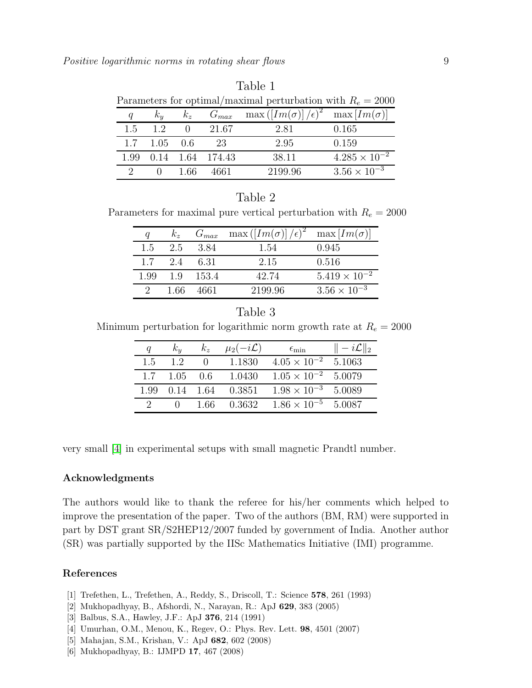| Table 1 |                                                               |          |             |                                                              |                        |  |  |
|---------|---------------------------------------------------------------|----------|-------------|--------------------------------------------------------------|------------------------|--|--|
|         | Parameters for optimal/maximal perturbation with $R_e = 2000$ |          |             |                                                              |                        |  |  |
| q       | $k_y$                                                         | $k_z$    |             | $G_{max}$ max $([Im(\sigma)]/\epsilon)^2$ max $[Im(\sigma)]$ |                        |  |  |
| 1.5     | $\overline{1.2}$                                              | $\theta$ | 21.67       | 2.81                                                         | 0.165                  |  |  |
| 1.7     | 1.05                                                          | 0.6      | 23          | 2.95                                                         | 0.159                  |  |  |
| 1.99    | 0.14                                                          |          | 1.64 174.43 | 38.11                                                        | $4.285 \times 10^{-2}$ |  |  |
| റ       |                                                               | 1 66     |             | 2199.96                                                      | $3.56 \times 10^{-3}$  |  |  |

| $\mathcal{L}$ |  | - 1.66 | 4661 | 2199.96 | $3.56 \times 10^{-3}$ |  |
|---------------|--|--------|------|---------|-----------------------|--|
|               |  |        |      |         |                       |  |
| Table 2       |  |        |      |         |                       |  |

Parameters for maximal pure vertical perturbation with  $R_e = 2000$ 

|     | $k_z$        | $G_{max}$       | $\max\left(\left[\operatorname{Im}(\sigma)\right]/\epsilon\right)^2$ max $\left[\operatorname{Im}(\sigma)\right]$ |                        |
|-----|--------------|-----------------|-------------------------------------------------------------------------------------------------------------------|------------------------|
| 1.5 |              | 2.5 3.84        | 1.54                                                                                                              | 0.945                  |
|     | 1.7 2.4 6.31 |                 | 2.15                                                                                                              | 0.516                  |
|     |              | 1.99 1.9 1.53.4 | 42.74                                                                                                             | $5.419 \times 10^{-2}$ |
|     | -1.66        | 4661            | 2199.96                                                                                                           | $3.56 \times 10^{-3}$  |

|                                                                       | Table 3 |  |
|-----------------------------------------------------------------------|---------|--|
| Minimum perturbation for logarithmic norm growth rate at $R_e = 2000$ |         |  |

| a    | $k_y$    | $k_z$ | $\mu_2(-i\mathcal{L})$ | $\epsilon_{\rm min}$         | $  -i\mathcal{L}  _2$ |
|------|----------|-------|------------------------|------------------------------|-----------------------|
| 1.5  | 1.2      |       | 1.1830                 | $4.05 \times 10^{-2}$        | 5.1063                |
|      | 1.7 1.05 | 0.6   | 1.0430                 | $1.05 \times 10^{-2}$        | 5.0079                |
| 1.99 |          |       | $0.14$ 1.64 $0.3851$   | $1.98 \times 10^{-3}$        | 5.0089                |
|      |          |       | 1.66 0.3632            | $1.86 \times 10^{-5}$ 5.0087 |                       |

very small [\[4\]](#page-8-3) in experimental setups with small magnetic Prandtl number.

### Acknowledgments

The authors would like to thank the referee for his/her comments which helped to improve the presentation of the paper. Two of the authors (BM, RM) were supported in part by DST grant SR/S2HEP12/2007 funded by government of India. Another author (SR) was partially supported by the IISc Mathematics Initiative (IMI) programme.

### <span id="page-8-0"></span>References

- <span id="page-8-1"></span>[1] Trefethen, L., Trefethen, A., Reddy, S., Driscoll, T.: Science 578, 261 (1993)
- <span id="page-8-2"></span>[2] Mukhopadhyay, B., Afshordi, N., Narayan, R.: ApJ 629, 383 (2005)
- <span id="page-8-3"></span>[3] Balbus, S.A., Hawley, J.F.: ApJ 376, 214 (1991)
- <span id="page-8-4"></span>[4] Umurhan, O.M., Menou, K., Regev, O.: Phys. Rev. Lett. 98, 4501 (2007)
- <span id="page-8-5"></span>[5] Mahajan, S.M., Krishan, V.: ApJ 682, 602 (2008)
- [6] Mukhopadhyay, B.: IJMPD 17, 467 (2008)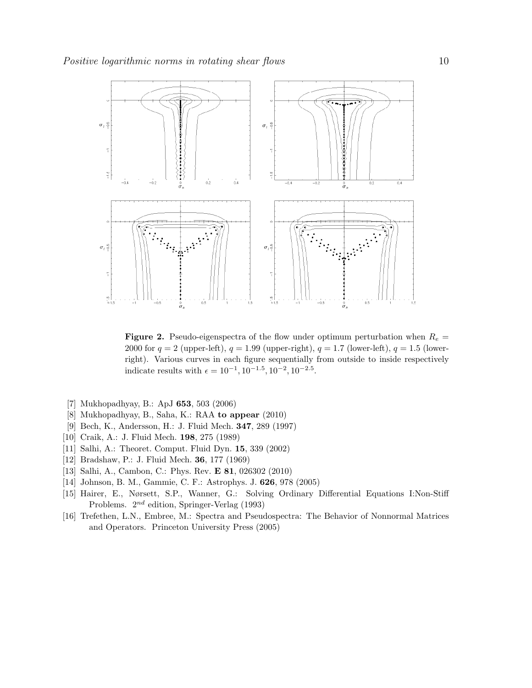

<span id="page-9-10"></span>**Figure 2.** Pseudo-eigenspectra of the flow under optimum perturbation when  $R_e$  = 2000 for  $q = 2$  (upper-left),  $q = 1.99$  (upper-right),  $q = 1.7$  (lower-left),  $q = 1.5$  (lowerright). Various curves in each figure sequentially from outside to inside respectively indicate results with  $\epsilon = 10^{-1}, 10^{-1.5}, 10^{-2}, 10^{-2.5}$ .

- <span id="page-9-1"></span><span id="page-9-0"></span>[7] Mukhopadhyay, B.: ApJ 653, 503 (2006)
- <span id="page-9-2"></span>[8] Mukhopadhyay, B., Saha, K.: RAA to appear (2010)
- <span id="page-9-3"></span>[9] Bech, K., Andersson, H.: J. Fluid Mech. 347, 289 (1997)
- <span id="page-9-4"></span>[10] Craik, A.: J. Fluid Mech. 198, 275 (1989)
- <span id="page-9-5"></span>[11] Salhi, A.: Theoret. Comput. Fluid Dyn. 15, 339 (2002)
- <span id="page-9-6"></span>[12] Bradshaw, P.: J. Fluid Mech. 36, 177 (1969)
- <span id="page-9-7"></span>[13] Salhi, A., Cambon, C.: Phys. Rev. E 81, 026302 (2010)
- <span id="page-9-9"></span>[14] Johnson, B. M., Gammie, C. F.: Astrophys. J. 626, 978 (2005)
- [15] Hairer, E., Nørsett, S.P., Wanner, G.: Solving Ordinary Differential Equations I:Non-Stiff Problems.  $2^{nd}$  edition, Springer-Verlag (1993)
- <span id="page-9-8"></span>[16] Trefethen, L.N., Embree, M.: Spectra and Pseudospectra: The Behavior of Nonnormal Matrices and Operators. Princeton University Press (2005)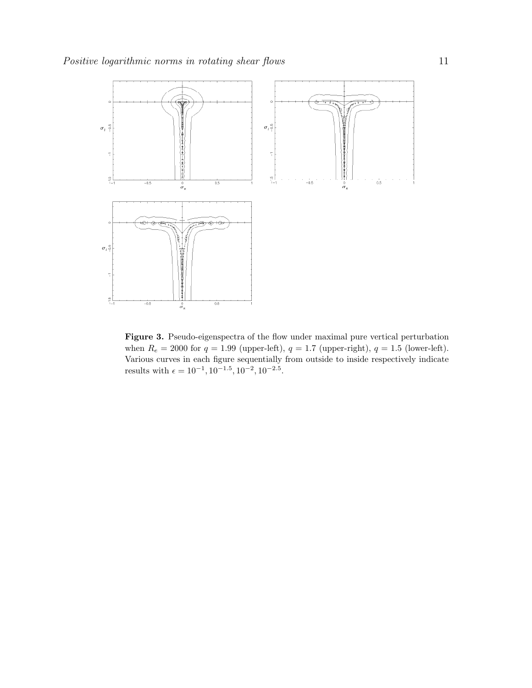

<span id="page-10-0"></span>Figure 3. Pseudo-eigenspectra of the flow under maximal pure vertical perturbation when  $R_e = 2000$  for  $q = 1.99$  (upper-left),  $q = 1.7$  (upper-right),  $q = 1.5$  (lower-left). Various curves in each figure sequentially from outside to inside respectively indicate results with  $\epsilon = 10^{-1}, 10^{-1.5}, 10^{-2}, 10^{-2.5}$ .